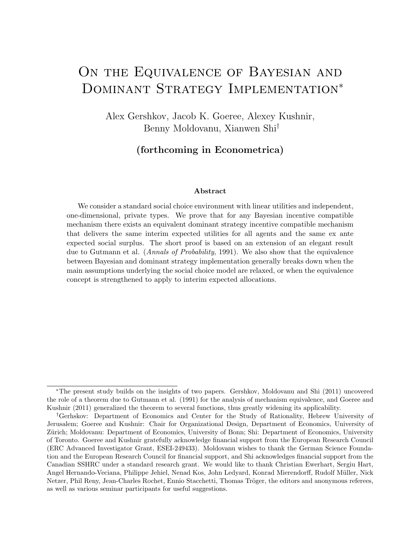# ON THE EQUIVALENCE OF BAYESIAN AND Dominant Strategy Implementation<sup>∗</sup>

Alex Gershkov, Jacob K. Goeree, Alexey Kushnir, Benny Moldovanu, Xianwen Shi†

# (forthcoming in Econometrica)

#### Abstract

We consider a standard social choice environment with linear utilities and independent, one-dimensional, private types. We prove that for any Bayesian incentive compatible mechanism there exists an equivalent dominant strategy incentive compatible mechanism that delivers the same interim expected utilities for all agents and the same ex ante expected social surplus. The short proof is based on an extension of an elegant result due to Gutmann et al. (Annals of Probability, 1991). We also show that the equivalence between Bayesian and dominant strategy implementation generally breaks down when the main assumptions underlying the social choice model are relaxed, or when the equivalence concept is strengthened to apply to interim expected allocations.

<sup>∗</sup>The present study builds on the insights of two papers. Gershkov, Moldovanu and Shi (2011) uncovered the role of a theorem due to Gutmann et al. (1991) for the analysis of mechanism equivalence, and Goeree and Kushnir (2011) generalized the theorem to several functions, thus greatly widening its applicability.

<sup>†</sup>Gerhskov: Department of Economics and Center for the Study of Rationality, Hebrew University of Jerusalem; Goeree and Kushnir: Chair for Organizational Design, Department of Economics, University of Zürich; Moldovanu: Department of Economics, University of Bonn; Shi: Department of Economics, University of Toronto. Goeree and Kushnir gratefully acknowledge financial support from the European Research Council (ERC Advanced Investigator Grant, ESEI-249433). Moldovanu wishes to thank the German Science Foundation and the European Research Council for financial support, and Shi acknowledges financial support from the Canadian SSHRC under a standard research grant. We would like to thank Christian Ewerhart, Sergiu Hart, Angel Hernando-Veciana, Philippe Jehiel, Nenad Kos, John Ledyard, Konrad Mierendorff, Rudolf M¨uller, Nick Netzer, Phil Reny, Jean-Charles Rochet, Ennio Stacchetti, Thomas Tröger, the editors and anonymous referees, as well as various seminar participants for useful suggestions.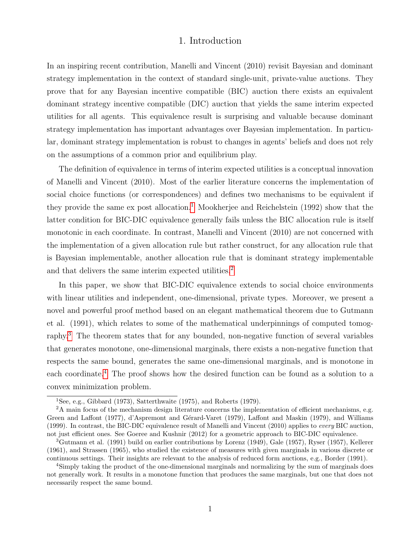# 1. Introduction

In an inspiring recent contribution, Manelli and Vincent (2010) revisit Bayesian and dominant strategy implementation in the context of standard single-unit, private-value auctions. They prove that for any Bayesian incentive compatible (BIC) auction there exists an equivalent dominant strategy incentive compatible (DIC) auction that yields the same interim expected utilities for all agents. This equivalence result is surprising and valuable because dominant strategy implementation has important advantages over Bayesian implementation. In particular, dominant strategy implementation is robust to changes in agents' beliefs and does not rely on the assumptions of a common prior and equilibrium play.

The definition of equivalence in terms of interim expected utilities is a conceptual innovation of Manelli and Vincent (2010). Most of the earlier literature concerns the implementation of social choice functions (or correspondences) and defines two mechanisms to be equivalent if they provide the same  $\alpha$  post allocation.<sup>[1](#page-1-0)</sup> Mookherjee and Reichelstein (1992) show that the latter condition for BIC-DIC equivalence generally fails unless the BIC allocation rule is itself monotonic in each coordinate. In contrast, Manelli and Vincent (2010) are not concerned with the implementation of a given allocation rule but rather construct, for any allocation rule that is Bayesian implementable, another allocation rule that is dominant strategy implementable and that delivers the same interim expected utilities.<sup>[2](#page-1-1)</sup>

In this paper, we show that BIC-DIC equivalence extends to social choice environments with linear utilities and independent, one-dimensional, private types. Moreover, we present a novel and powerful proof method based on an elegant mathematical theorem due to Gutmann et al. (1991), which relates to some of the mathematical underpinnings of computed tomography.[3](#page-1-2) The theorem states that for any bounded, non-negative function of several variables that generates monotone, one-dimensional marginals, there exists a non-negative function that respects the same bound, generates the same one-dimensional marginals, and is monotone in each coordinate.<sup>[4](#page-1-3)</sup> The proof shows how the desired function can be found as a solution to a convex minimization problem.

<span id="page-1-1"></span><span id="page-1-0"></span> $\overline{^{1}$ See, e.g., Gibbard (1973), Satterthwaite (1975), and Roberts (1979).

<sup>&</sup>lt;sup>2</sup>A main focus of the mechanism design literature concerns the implementation of efficient mechanisms, e.g. Green and Laffont (1977), d'Aspremont and Gérard-Varet (1979), Laffont and Maskin (1979), and Williams (1999). In contrast, the BIC-DIC equivalence result of Manelli and Vincent (2010) applies to every BIC auction, not just efficient ones. See Goeree and Kushnir (2012) for a geometric approach to BIC-DIC equivalence.

<span id="page-1-2"></span><sup>3</sup>Gutmann et al. (1991) build on earlier contributions by Lorenz (1949), Gale (1957), Ryser (1957), Kellerer (1961), and Strassen (1965), who studied the existence of measures with given marginals in various discrete or continuous settings. Their insights are relevant to the analysis of reduced form auctions, e.g., Border (1991).

<span id="page-1-3"></span><sup>4</sup>Simply taking the product of the one-dimensional marginals and normalizing by the sum of marginals does not generally work. It results in a monotone function that produces the same marginals, but one that does not necessarily respect the same bound.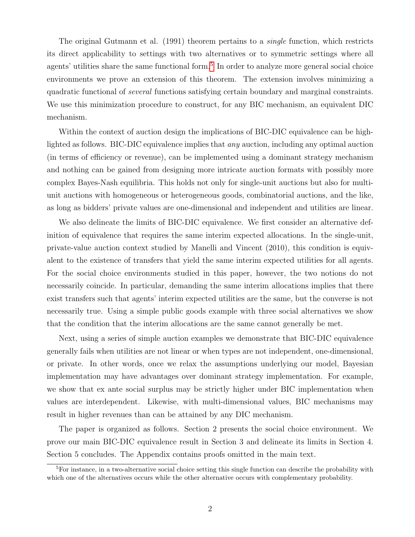The original Gutmann et al. (1991) theorem pertains to a single function, which restricts its direct applicability to settings with two alternatives or to symmetric settings where all agents' utilities share the same functional form.<sup>[5](#page-2-0)</sup> In order to analyze more general social choice environments we prove an extension of this theorem. The extension involves minimizing a quadratic functional of several functions satisfying certain boundary and marginal constraints. We use this minimization procedure to construct, for any BIC mechanism, an equivalent DIC mechanism.

Within the context of auction design the implications of BIC-DIC equivalence can be highlighted as follows. BIC-DIC equivalence implies that any auction, including any optimal auction (in terms of efficiency or revenue), can be implemented using a dominant strategy mechanism and nothing can be gained from designing more intricate auction formats with possibly more complex Bayes-Nash equilibria. This holds not only for single-unit auctions but also for multiunit auctions with homogeneous or heterogeneous goods, combinatorial auctions, and the like, as long as bidders' private values are one-dimensional and independent and utilities are linear.

We also delineate the limits of BIC-DIC equivalence. We first consider an alternative definition of equivalence that requires the same interim expected allocations. In the single-unit, private-value auction context studied by Manelli and Vincent (2010), this condition is equivalent to the existence of transfers that yield the same interim expected utilities for all agents. For the social choice environments studied in this paper, however, the two notions do not necessarily coincide. In particular, demanding the same interim allocations implies that there exist transfers such that agents' interim expected utilities are the same, but the converse is not necessarily true. Using a simple public goods example with three social alternatives we show that the condition that the interim allocations are the same cannot generally be met.

Next, using a series of simple auction examples we demonstrate that BIC-DIC equivalence generally fails when utilities are not linear or when types are not independent, one-dimensional, or private. In other words, once we relax the assumptions underlying our model, Bayesian implementation may have advantages over dominant strategy implementation. For example, we show that ex ante social surplus may be strictly higher under BIC implementation when values are interdependent. Likewise, with multi-dimensional values, BIC mechanisms may result in higher revenues than can be attained by any DIC mechanism.

The paper is organized as follows. Section 2 presents the social choice environment. We prove our main BIC-DIC equivalence result in Section 3 and delineate its limits in Section 4. Section 5 concludes. The Appendix contains proofs omitted in the main text.

<span id="page-2-0"></span><sup>&</sup>lt;sup>5</sup>For instance, in a two-alternative social choice setting this single function can describe the probability with which one of the alternatives occurs while the other alternative occurs with complementary probability.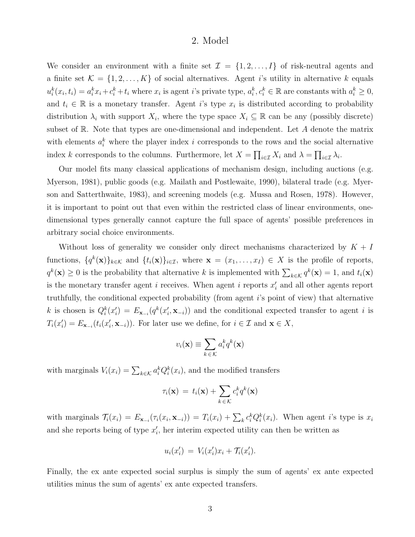# 2. Model

We consider an environment with a finite set  $\mathcal{I} = \{1, 2, \ldots, I\}$  of risk-neutral agents and a finite set  $\mathcal{K} = \{1, 2, ..., K\}$  of social alternatives. Agent i's utility in alternative k equals  $u_i^k(x_i, t_i) = a_i^k x_i + c_i^k + t_i$  where  $x_i$  is agent i's private type,  $a_i^k, c_i^k \in \mathbb{R}$  are constants with  $a_i^k \geq 0$ , and  $t_i \in \mathbb{R}$  is a monetary transfer. Agent i's type  $x_i$  is distributed according to probability distribution  $\lambda_i$  with support  $X_i$ , where the type space  $X_i \subseteq \mathbb{R}$  can be any (possibly discrete) subset of  $\mathbb{R}$ . Note that types are one-dimensional and independent. Let A denote the matrix with elements  $a_i^k$  where the player index i corresponds to the rows and the social alternative index k corresponds to the columns. Furthermore, let  $X = \prod_{i \in \mathcal{I}} X_i$  and  $\lambda = \prod_{i \in \mathcal{I}} \lambda_i$ .

Our model fits many classical applications of mechanism design, including auctions (e.g. Myerson, 1981), public goods (e.g. Mailath and Postlewaite, 1990), bilateral trade (e.g. Myerson and Satterthwaite, 1983), and screening models (e.g. Mussa and Rosen, 1978). However, it is important to point out that even within the restricted class of linear environments, onedimensional types generally cannot capture the full space of agents' possible preferences in arbitrary social choice environments.

Without loss of generality we consider only direct mechanisms characterized by  $K + I$ functions,  $\{q^k(\mathbf{x})\}_{k\in\mathcal{K}}$  and  $\{t_i(\mathbf{x})\}_{i\in\mathcal{I}}$ , where  $\mathbf{x} = (x_1,\ldots,x_I) \in X$  is the profile of reports,  $q^k(\mathbf{x}) \geq 0$  is the probability that alternative k is implemented with  $\sum_{k \in \mathcal{K}} q^k(\mathbf{x}) = 1$ , and  $t_i(\mathbf{x})$ is the monetary transfer agent *i* receives. When agent *i* reports  $x_i'$  and all other agents report truthfully, the conditional expected probability (from agent  $i$ 's point of view) that alternative k is chosen is  $Q_i^k(x'_i) = E_{\mathbf{x}_{-i}}(q^k(x'_i, \mathbf{x}_{-i}))$  and the conditional expected transfer to agent i is  $T_i(x'_i) = E_{\mathbf{x}_{-i}}(t_i(x'_i, \mathbf{x}_{-i}))$ . For later use we define, for  $i \in \mathcal{I}$  and  $\mathbf{x} \in X$ ,

$$
v_i(\mathbf{x}) \equiv \sum_{k \in \mathcal{K}} a_i^k q^k(\mathbf{x})
$$

with marginals  $V_i(x_i) = \sum_{k \in \mathcal{K}} a_i^k Q_i^k(x_i)$ , and the modified transfers

$$
\tau_i(\mathbf{x}) = t_i(\mathbf{x}) + \sum_{k \in \mathcal{K}} c_i^k q^k(\mathbf{x})
$$

with marginals  $\mathcal{T}_i(x_i) = E_{\mathbf{x}_{-i}}(\tau_i(x_i, \mathbf{x}_{-i})) = T_i(x_i) + \sum_k c_i^k Q_i^k(x_i)$ . When agent *i*'s type is  $x_i$ and she reports being of type  $x_i'$ , her interim expected utility can then be written as

$$
u_i(x'_i) = V_i(x'_i)x_i + \mathcal{T}_i(x'_i).
$$

Finally, the ex ante expected social surplus is simply the sum of agents' ex ante expected utilities minus the sum of agents' ex ante expected transfers.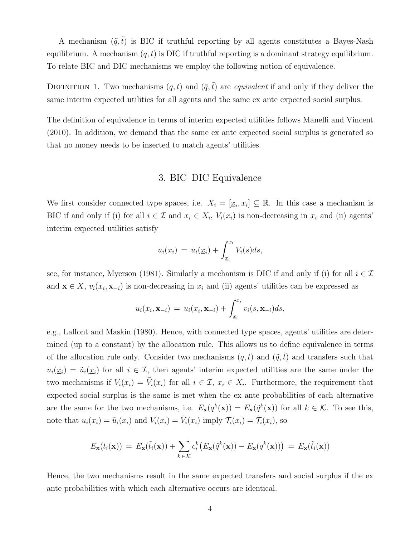A mechanism  $(\tilde{q}, \tilde{t})$  is BIC if truthful reporting by all agents constitutes a Bayes-Nash equilibrium. A mechanism  $(q, t)$  is DIC if truthful reporting is a dominant strategy equilibrium. To relate BIC and DIC mechanisms we employ the following notion of equivalence.

DEFINITION 1. Two mechanisms  $(q, t)$  and  $(\tilde{q}, \tilde{t})$  are *equivalent* if and only if they deliver the same interim expected utilities for all agents and the same ex ante expected social surplus.

The definition of equivalence in terms of interim expected utilities follows Manelli and Vincent (2010). In addition, we demand that the same ex ante expected social surplus is generated so that no money needs to be inserted to match agents' utilities.

# 3. BIC–DIC Equivalence

We first consider connected type spaces, i.e.  $X_i = [\underline{x}_i, \overline{x}_i] \subseteq \mathbb{R}$ . In this case a mechanism is BIC if and only if (i) for all  $i \in \mathcal{I}$  and  $x_i \in X_i$ ,  $V_i(x_i)$  is non-decreasing in  $x_i$  and (ii) agents' interim expected utilities satisfy

$$
u_i(x_i) = u_i(\underline{x}_i) + \int_{\underline{x}_i}^{x_i} V_i(s) ds,
$$

see, for instance, Myerson (1981). Similarly a mechanism is DIC if and only if (i) for all  $i \in \mathcal{I}$ and  $\mathbf{x} \in X$ ,  $v_i(x_i, \mathbf{x}_{-i})$  is non-decreasing in  $x_i$  and (ii) agents' utilities can be expressed as

$$
u_i(x_i, \mathbf{x}_{-i}) = u_i(\underline{x}_i, \mathbf{x}_{-i}) + \int_{\underline{x}_i}^{x_i} v_i(s, \mathbf{x}_{-i}) ds,
$$

e.g., Laffont and Maskin (1980). Hence, with connected type spaces, agents' utilities are determined (up to a constant) by the allocation rule. This allows us to define equivalence in terms of the allocation rule only. Consider two mechanisms  $(q, t)$  and  $(\tilde{q}, t)$  and transfers such that  $u_i(\underline{x}_i) = \tilde{u}_i(\underline{x}_i)$  for all  $i \in \mathcal{I}$ , then agents' interim expected utilities are the same under the two mechanisms if  $V_i(x_i) = \tilde{V}_i(x_i)$  for all  $i \in \mathcal{I}, x_i \in X_i$ . Furthermore, the requirement that expected social surplus is the same is met when the ex ante probabilities of each alternative are the same for the two mechanisms, i.e.  $E_{\mathbf{x}}(q^k(\mathbf{x})) = E_{\mathbf{x}}(\tilde{q}^k(\mathbf{x}))$  for all  $k \in \mathcal{K}$ . To see this, note that  $u_i(x_i) = \tilde{u}_i(x_i)$  and  $V_i(x_i) = \tilde{V}_i(x_i)$  imply  $\mathcal{T}_i(x_i) = \tilde{\mathcal{T}}_i(x_i)$ , so

$$
E_{\mathbf{x}}(t_i(\mathbf{x})) = E_{\mathbf{x}}(\tilde{t}_i(\mathbf{x})) + \sum_{k \in \mathcal{K}} c_i^k (E_{\mathbf{x}}(\tilde{q}^k(\mathbf{x})) - E_{\mathbf{x}}(q^k(\mathbf{x}))) = E_{\mathbf{x}}(\tilde{t}_i(\mathbf{x}))
$$

Hence, the two mechanisms result in the same expected transfers and social surplus if the ex ante probabilities with which each alternative occurs are identical.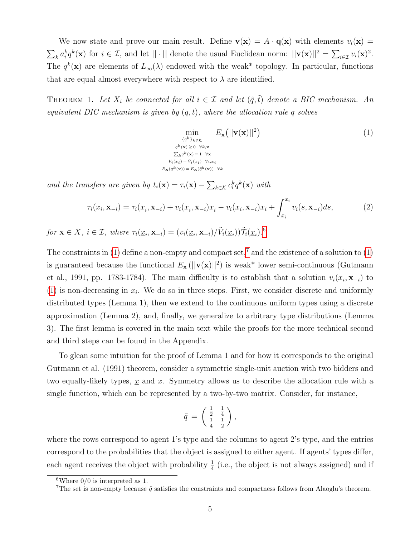We now state and prove our main result. Define  $\mathbf{v}(\mathbf{x}) = A \cdot \mathbf{q}(\mathbf{x})$  with elements  $v_i(\mathbf{x}) =$  $\sum_{k} a_i^k q^k(\mathbf{x})$  for  $i \in \mathcal{I}$ , and let  $||\cdot||$  denote the usual Euclidean norm:  $||\mathbf{v}(\mathbf{x})||^2 = \sum_{i \in \mathcal{I}} v_i(\mathbf{x})^2$ . The  $q^k(\mathbf{x})$  are elements of  $L_{\infty}(\lambda)$  endowed with the weak\* topology. In particular, functions that are equal almost everywhere with respect to  $\lambda$  are identified.

THEOREM 1. Let  $X_i$  be connected for all  $i \in \mathcal{I}$  and let  $(\tilde{q}, \tilde{t})$  denote a BIC mechanism. An equivalent DIC mechanism is given by  $(q, t)$ , where the allocation rule q solves

<span id="page-5-1"></span>
$$
\min_{\{q^k\}_{k\in\mathcal{K}} \atop d^k\geq 0 \quad \forall k,\mathbf{x}} E_{\mathbf{x}}(||\mathbf{v}(\mathbf{x})||^2)
$$
\n
$$
(1)
$$
\n
$$
e^{k}(\mathbf{x}) \geq 0 \quad \forall k,\mathbf{x}
$$
\n
$$
\sum_{k} e^{k}(\mathbf{x}) = 1 \quad \forall \mathbf{x}
$$
\n
$$
V_i(x_i) = \tilde{V}_i(x_i) \quad \forall i, x_i
$$
\n
$$
E_{\mathbf{x}}(q^k(\mathbf{x})) = E_{\mathbf{x}}(\tilde{q}^k(\mathbf{x})) \quad \forall k
$$

and the transfers are given by  $t_i(\mathbf{x}) = \tau_i(\mathbf{x}) - \sum_{k \in \mathcal{K}} c_i^k q^k(\mathbf{x})$  with

<span id="page-5-3"></span>
$$
\tau_i(x_i, \mathbf{x}_{-i}) = \tau_i(\underline{x}_i, \mathbf{x}_{-i}) + v_i(\underline{x}_i, \mathbf{x}_{-i})\underline{x}_i - v_i(x_i, \mathbf{x}_{-i})x_i + \int_{\underline{x}_i}^{x_i} v_i(s, \mathbf{x}_{-i})ds,\tag{2}
$$

for  $\mathbf{x} \in X$ ,  $i \in \mathcal{I}$ , where  $\tau_i(\underline{x}_i, \mathbf{x}_{-i}) = (v_i(\underline{x}_i, \mathbf{x}_{-i}) / \tilde{V}_i(\underline{x}_i)) \tilde{\mathcal{T}}_i(\underline{x}_i)$ .

The constraints in  $(1)$  define a non-empty and compact set,<sup>[7](#page-5-2)</sup> and the existence of a solution to  $(1)$ is guaranteed because the functional  $E_{\mathbf{x}}(||\mathbf{v}(\mathbf{x})||^2)$  is weak\* lower semi-continuous (Gutmann et al., 1991, pp. 1783-1784). The main difficulty is to establish that a solution  $v_i(x_i, \mathbf{x}_{-i})$  to [\(1\)](#page-5-1) is non-decreasing in  $x_i$ . We do so in three steps. First, we consider discrete and uniformly distributed types (Lemma 1), then we extend to the continuous uniform types using a discrete approximation (Lemma 2), and, finally, we generalize to arbitrary type distributions (Lemma 3). The first lemma is covered in the main text while the proofs for the more technical second and third steps can be found in the Appendix.

To glean some intuition for the proof of Lemma 1 and for how it corresponds to the original Gutmann et al. (1991) theorem, consider a symmetric single-unit auction with two bidders and two equally-likely types, x and  $\bar{x}$ . Symmetry allows us to describe the allocation rule with a single function, which can be represented by a two-by-two matrix. Consider, for instance,

$$
\tilde{q} = \begin{pmatrix} \frac{1}{2} & \frac{1}{4} \\ \frac{1}{4} & \frac{1}{2} \end{pmatrix},
$$

where the rows correspond to agent 1's type and the columns to agent 2's type, and the entries correspond to the probabilities that the object is assigned to either agent. If agents' types differ, each agent receives the object with probability  $\frac{1}{4}$  (i.e., the object is not always assigned) and if

<span id="page-5-0"></span><sup>&</sup>lt;sup>6</sup>Where  $0/0$  is interpreted as 1.

<span id="page-5-2"></span><sup>&</sup>lt;sup>7</sup>The set is non-empty because  $\tilde{q}$  satisfies the constraints and compactness follows from Alaoglu's theorem.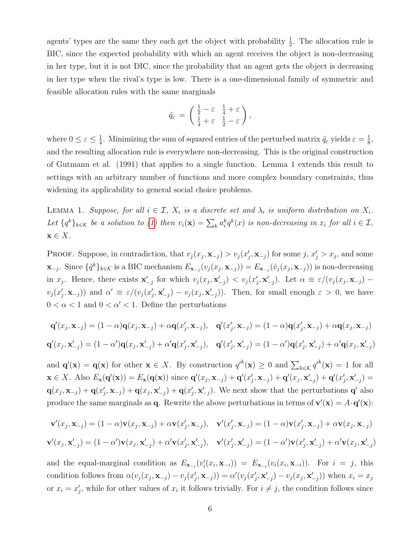agents' types are the same they each get the object with probability  $\frac{1}{2}$ . The allocation rule is BIC, since the expected probability with which an agent receives the object is non-decreasing in her type, but it is not DIC, since the probability that an agent gets the object is decreasing in her type when the rival's type is low. There is a one-dimensional family of symmetric and feasible allocation rules with the same marginals

$$
\tilde{q}_{\varepsilon} = \begin{pmatrix} \frac{1}{2} - \varepsilon & \frac{1}{4} + \varepsilon \\ \frac{1}{4} + \varepsilon & \frac{1}{2} - \varepsilon \end{pmatrix},
$$

where  $0 \leq \varepsilon \leq \frac{1}{4}$  $\frac{1}{4}$ . Minimizing the sum of squared entries of the perturbed matrix  $\tilde{q}_{\varepsilon}$  yields  $\varepsilon = \frac{1}{8}$  $\frac{1}{8}$ , and the resulting allocation rule is everywhere non-decreasing. This is the original construction of Gutmann et al. (1991) that applies to a single function. Lemma 1 extends this result to settings with an arbitrary number of functions and more complex boundary constraints, thus widening its applicability to general social choice problems.

LEMMA 1. Suppose, for all  $i \in \mathcal{I}$ ,  $X_i$  is a discrete set and  $\lambda_i$  is uniform distribution on  $X_i$ . Let  $\{q^k\}_{k\in\mathcal{K}}$  be a solution to [\(1\)](#page-5-1) then  $v_i(\mathbf{x}) = \sum_k a_i^k q^k(x)$  is non-decreasing in  $x_i$  for all  $i \in \mathcal{I}$ ,  $\mathbf{x} \in X$ .

PROOF. Suppose, in contradiction, that  $v_j(x_j, \mathbf{x}_{-j}) > v_j(x'_j, \mathbf{x}_{-j})$  for some  $j, x'_j > x_j$ , and some  $\mathbf{x}_{-j}$ . Since  $\{\tilde{q}^k\}_{k\in\mathcal{K}}$  is a BIC mechanism  $E_{\mathbf{x}_{-j}}(v_j(x_j,\mathbf{x}_{-j})) = E_{\mathbf{x}_{-j}}(\tilde{v}_j(x_j,\mathbf{x}_{-j}))$  is non-decreasing in  $x_j$ . Hence, there exists  $\mathbf{x}'_{-j}$  for which  $v_j(x_j, \mathbf{x}'_{-j}) < v_j(x'_j, \mathbf{x}'_{-j})$ . Let  $\alpha \equiv \varepsilon/(v_j(x_j, \mathbf{x}_{-j})$  $v_j(x'_j, \mathbf{x}_{-j})$  and  $\alpha' \equiv \varepsilon/(v_j(x'_j, \mathbf{x}'_{-j}) - v_j(x_j, \mathbf{x}'_{-j}))$ . Then, for small enough  $\varepsilon > 0$ , we have  $0 < \alpha < 1$  and  $0 < \alpha' < 1$ . Define the perturbations

$$
\mathbf{q}'(x_j, \mathbf{x}_{-j}) = (1 - \alpha)\mathbf{q}(x_j, \mathbf{x}_{-j}) + \alpha \mathbf{q}(x'_j, \mathbf{x}_{-j}), \quad \mathbf{q}'(x'_j, \mathbf{x}_{-j}) = (1 - \alpha)\mathbf{q}(x'_j, \mathbf{x}_{-j}) + \alpha \mathbf{q}(x_j, \mathbf{x}_{-j})
$$

$$
\mathbf{q}'(x_j, \mathbf{x}'_{-j}) = (1 - \alpha')\mathbf{q}(x_j, \mathbf{x}'_{-j}) + \alpha'\mathbf{q}(x'_j, \mathbf{x}'_{-j}), \quad \mathbf{q}'(x'_j, \mathbf{x}'_{-j}) = (1 - \alpha')\mathbf{q}(x'_j, \mathbf{x}'_{-j}) + \alpha'\mathbf{q}(x_j, \mathbf{x}'_{-j})
$$

and  $\mathbf{q}'(\mathbf{x}) = \mathbf{q}(\mathbf{x})$  for other  $\mathbf{x} \in X$ . By construction  $q'^k(\mathbf{x}) \geq 0$  and  $\sum_{k \in \mathcal{K}} q'^k(\mathbf{x}) = 1$  for all  $\mathbf{x} \in X$ . Also  $E_{\mathbf{x}}(\mathbf{q}'(\mathbf{x})) = E_{\mathbf{x}}(\mathbf{q}(\mathbf{x}))$  since  $\mathbf{q}'(x_j, \mathbf{x}_{-j}) + \mathbf{q}'(x'_j, \mathbf{x}_{-j}) + \mathbf{q}'(x_j, \mathbf{x}'_{-j}) + \mathbf{q}'(x'_j, \mathbf{x}'_{-j}) =$  $\mathbf{q}(x_j, \mathbf{x}_{-j}) + \mathbf{q}(x'_j, \mathbf{x}'_{-j}) + \mathbf{q}(x'_j, \mathbf{x}'_{-j})$ . We next show that the perturbations  $\mathbf{q}'$  also produce the same marginals as **q**. Rewrite the above perturbations in terms of  $\mathbf{v}'(\mathbf{x}) = A \cdot \mathbf{q}'(\mathbf{x})$ :

<span id="page-6-0"></span>
$$
\mathbf{v}'(x_j, \mathbf{x}_{-j}) = (1 - \alpha)\mathbf{v}(x_j, \mathbf{x}_{-j}) + \alpha\mathbf{v}(x'_j, \mathbf{x}_{-j}), \quad \mathbf{v}'(x'_j, \mathbf{x}_{-j}) = (1 - \alpha)\mathbf{v}(x'_j, \mathbf{x}_{-j}) + \alpha\mathbf{v}(x_j, \mathbf{x}_{-j})
$$

$$
\mathbf{v}'(x_j, \mathbf{x}'_{-j}) = (1 - \alpha')\mathbf{v}(x_j, \mathbf{x}'_{-j}) + \alpha'\mathbf{v}(x'_j, \mathbf{x}'_{-j}), \quad \mathbf{v}'(x'_j, \mathbf{x}'_{-j}) = (1 - \alpha')\mathbf{v}(x'_j, \mathbf{x}'_{-j}) + \alpha'\mathbf{v}(x_j, \mathbf{x}'_{-j})
$$

and the equal-marginal condition as  $E_{\mathbf{x}_{-i}}(v_i'(x_i, \mathbf{x}_{-i})) = E_{\mathbf{x}_{-i}}(v_i(x_i, \mathbf{x}_{-i}))$ . For  $i = j$ , this condition follows from  $\alpha(v_j(x_j, \mathbf{x}_{-j}) - v_j(x'_j, \mathbf{x}_{-j})) = \alpha'(v_j(x'_j, \mathbf{x}'_{-j}) - v_j(x_j, \mathbf{x}'_{-j}))$  when  $x_i = x_j$ or  $x_i = x'_j$ , while for other values of  $x_i$  it follows trivially. For  $i \neq j$ , the condition follows since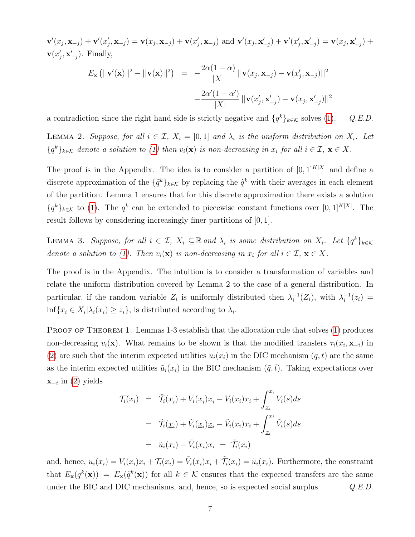$\mathbf{v}'(x_j, \mathbf{x}_{-j}) + \mathbf{v}'(x'_j, \mathbf{x}_{-j}) = \mathbf{v}(x_j, \mathbf{x}_{-j}) + \mathbf{v}(x'_j, \mathbf{x}_{-j})$  and  $\mathbf{v}'(x_j, \mathbf{x}'_{-j}) + \mathbf{v}'(x'_j, \mathbf{x}'_{-j}) = \mathbf{v}(x_j, \mathbf{x}'_{-j}) +$  $\mathbf{v}(x'_j, \mathbf{x}'_{-j})$ . Finally,

$$
E_{\mathbf{x}}\left(||\mathbf{v}'(\mathbf{x})||^2 - ||\mathbf{v}(\mathbf{x})||^2\right) = -\frac{2\alpha(1-\alpha)}{|X|}||\mathbf{v}(x_j, \mathbf{x}_{-j}) - \mathbf{v}(x'_j, \mathbf{x}_{-j})||^2 -\frac{2\alpha'(1-\alpha')}{|X|}||\mathbf{v}(x'_j, \mathbf{x}'_{-j}) - \mathbf{v}(x_j, \mathbf{x}'_{-j})||^2
$$

a contradiction since the right hand side is strictly negative and  $\{q^k\}_{k\in\mathcal{K}}$  solves [\(1\)](#page-5-1). Q.E.D.

LEMMA 2. Suppose, for all  $i \in \mathcal{I}$ ,  $X_i = [0,1]$  and  $\lambda_i$  is the uniform distribution on  $X_i$ . Let  ${q^k}_{k\in\mathcal{K}}$  denote a solution to [\(1\)](#page-5-1) then  $v_i(\mathbf{x})$  is non-decreasing in  $x_i$  for all  $i \in \mathcal{I}$ ,  $\mathbf{x} \in X$ .

The proof is in the Appendix. The idea is to consider a partition of  $[0,1]^{K|X|}$  and define a discrete approximation of the  $\{\tilde{q}^k\}_{k\in\mathcal{K}}$  by replacing the  $\tilde{q}^k$  with their averages in each element of the partition. Lemma 1 ensures that for this discrete approximation there exists a solution  ${q^k}_{k\in\mathcal{K}}$  to [\(1\)](#page-5-1). The  $q^k$  can be extended to piecewise constant functions over  $[0,1]^{K|X|}$ . The result follows by considering increasingly finer partitions of [0, 1].

LEMMA 3. Suppose, for all  $i \in \mathcal{I}$ ,  $X_i \subseteq \mathbb{R}$  and  $\lambda_i$  is some distribution on  $X_i$ . Let  $\{q^k\}_{k \in \mathcal{K}}$ denote a solution to [\(1\)](#page-5-1). Then  $v_i(\mathbf{x})$  is non-decreasing in  $x_i$  for all  $i \in \mathcal{I}, \mathbf{x} \in X$ .

The proof is in the Appendix. The intuition is to consider a transformation of variables and relate the uniform distribution covered by Lemma 2 to the case of a general distribution. In particular, if the random variable  $Z_i$  is uniformly distributed then  $\lambda_i^{-1}$  $i^{-1}(Z_i)$ , with  $\lambda_i^{-1}$  $i^{-1}(z_i) =$  $\inf\{x_i \in X_i | \lambda_i(x_i) \geq z_i\}$ , is distributed according to  $\lambda_i$ .

PROOF OF THEOREM 1. Lemmas 1-3 establish that the allocation rule that solves [\(1\)](#page-5-1) produces non-decreasing  $v_i(\mathbf{x})$ . What remains to be shown is that the modified transfers  $\tau_i(x_i, \mathbf{x}_{-i})$  in [\(2\)](#page-5-3) are such that the interim expected utilities  $u_i(x_i)$  in the DIC mechanism  $(q, t)$  are the same as the interim expected utilities  $\tilde{u}_i(x_i)$  in the BIC mechanism  $(\tilde{q},\tilde{t})$ . Taking expectations over  $\mathbf{x}_{-i}$  in [\(2\)](#page-5-3) yields

$$
\mathcal{T}_i(x_i) = \tilde{\mathcal{T}}_i(\underline{x}_i) + V_i(\underline{x}_i)\underline{x}_i - V_i(x_i)x_i + \int_{\underline{x}_i}^{x_i} V_i(s)ds
$$

$$
= \tilde{\mathcal{T}}_i(\underline{x}_i) + \tilde{V}_i(\underline{x}_i)\underline{x}_i - \tilde{V}_i(x_i)x_i + \int_{\underline{x}_i}^{x_i} \tilde{V}_i(s)ds
$$

$$
= \tilde{u}_i(x_i) - \tilde{V}_i(x_i)x_i = \tilde{\mathcal{T}}_i(x_i)
$$

and, hence,  $u_i(x_i) = V_i(x_i)x_i + \mathcal{T}_i(x_i) = \tilde{V}_i(x_i)x_i + \tilde{\mathcal{T}}_i(x_i) = \tilde{u}_i(x_i)$ . Furthermore, the constraint that  $E_{\mathbf{x}}(q^k(\mathbf{x})) = E_{\mathbf{x}}(\tilde{q}^k(\mathbf{x}))$  for all  $k \in \mathcal{K}$  ensures that the expected transfers are the same under the BIC and DIC mechanisms, and, hence, so is expected social surplus.  $Q.E.D.$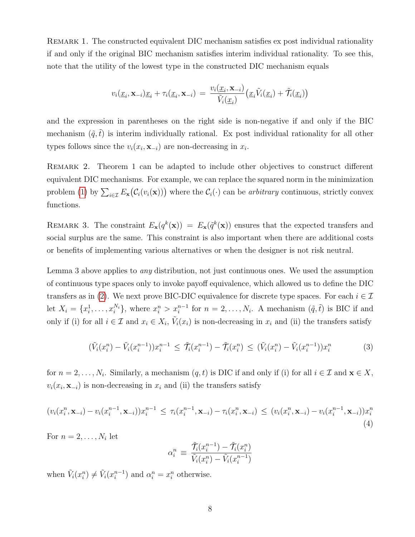REMARK 1. The constructed equivalent DIC mechanism satisfies ex post individual rationality if and only if the original BIC mechanism satisfies interim individual rationality. To see this, note that the utility of the lowest type in the constructed DIC mechanism equals

$$
v_i(\underline{x}_i, \mathbf{x}_{-i})\underline{x}_i + \tau_i(\underline{x}_i, \mathbf{x}_{-i}) = \frac{v_i(\underline{x}_i, \mathbf{x}_{-i})}{\tilde{V}_i(\underline{x}_i)} \big(\underline{x}_i \tilde{V}_i(\underline{x}_i) + \tilde{\mathcal{T}}_i(\underline{x}_i)\big)
$$

and the expression in parentheses on the right side is non-negative if and only if the BIC mechanism  $(\tilde{q},\tilde{t})$  is interim individually rational. Ex post individual rationality for all other types follows since the  $v_i(x_i, \mathbf{x}_{-i})$  are non-decreasing in  $x_i$ .

Remark 2. Theorem 1 can be adapted to include other objectives to construct different equivalent DIC mechanisms. For example, we can replace the squared norm in the minimization problem [\(1\)](#page-5-1) by  $\sum_{i\in\mathcal{I}}E_{\mathbf{x}}(\mathcal{C}_i(v_i(\mathbf{x})))$  where the  $\mathcal{C}_i(\cdot)$  can be *arbitrary* continuous, strictly convex functions.

REMARK 3. The constraint  $E_{\mathbf{x}}(q^k(\mathbf{x})) = E_{\mathbf{x}}(\tilde{q}^k(\mathbf{x}))$  ensures that the expected transfers and social surplus are the same. This constraint is also important when there are additional costs or benefits of implementing various alternatives or when the designer is not risk neutral.

Lemma 3 above applies to any distribution, not just continuous ones. We used the assumption of continuous type spaces only to invoke payoff equivalence, which allowed us to define the DIC transfers as in [\(2\)](#page-5-3). We next prove BIC-DIC equivalence for discrete type spaces. For each  $i \in \mathcal{I}$ let  $X_i = \{x_i^1, \ldots, x_i^{N_i}\}\$ , where  $x_i^n > x_i^{n-1}$  for  $n = 2, \ldots, N_i$ . A mechanism  $(\tilde{q}, \tilde{t})$  is BIC if and only if (i) for all  $i \in \mathcal{I}$  and  $x_i \in X_i$ ,  $\tilde{V}_i(x_i)$  is non-decreasing in  $x_i$  and (ii) the transfers satisfy

$$
(\tilde{V}_i(x_i^n) - \tilde{V}_i(x_i^{n-1}))x_i^{n-1} \leq \tilde{\mathcal{T}}_i(x_i^{n-1}) - \tilde{\mathcal{T}}_i(x_i^n) \leq (\tilde{V}_i(x_i^n) - \tilde{V}_i(x_i^{n-1}))x_i^n \tag{3}
$$

for  $n = 2, \ldots, N_i$ . Similarly, a mechanism  $(q, t)$  is DIC if and only if (i) for all  $i \in \mathcal{I}$  and  $\mathbf{x} \in X$ ,  $v_i(x_i, \mathbf{x}_{-i})$  is non-decreasing in  $x_i$  and (ii) the transfers satisfy

<span id="page-8-0"></span>
$$
(v_i(x_i^n, \mathbf{x}_{-i}) - v_i(x_i^{n-1}, \mathbf{x}_{-i}))x_i^{n-1} \leq \tau_i(x_i^{n-1}, \mathbf{x}_{-i}) - \tau_i(x_i^n, \mathbf{x}_{-i}) \leq (v_i(x_i^n, \mathbf{x}_{-i}) - v_i(x_i^{n-1}, \mathbf{x}_{-i}))x_i^n
$$
\n(4)

For  $n=2,\ldots,N_i$  let

$$
\alpha_i^n \equiv \frac{\tilde{\mathcal{T}}_i(x_i^{n-1}) - \tilde{\mathcal{T}}_i(x_i^n)}{\tilde{V}_i(x_i^n) - \tilde{V}_i(x_i^{n-1})}
$$

when  $\tilde{V}_i(x_i^n) \neq \tilde{V}_i(x_i^{n-1})$  $\binom{n-1}{i}$  and  $\alpha_i^n = x_i^n$  otherwise.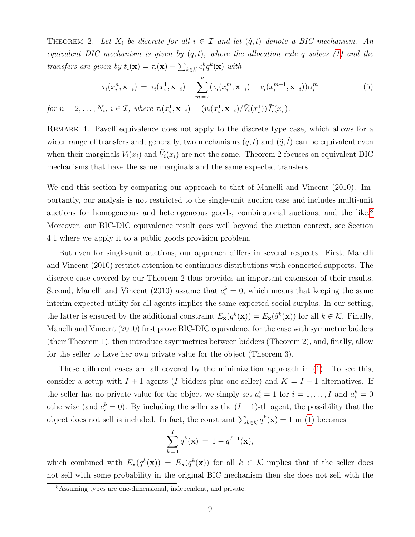THEOREM 2. Let  $X_i$  be discrete for all  $i \in \mathcal{I}$  and let  $(\tilde{q}, \tilde{t})$  denote a BIC mechanism. An equivalent DIC mechanism is given by  $(q, t)$ , where the allocation rule q solves [\(1\)](#page-5-1) and the transfers are given by  $t_i(\mathbf{x}) = \tau_i(\mathbf{x}) - \sum_{k \in \mathcal{K}} c_i^k q^k(\mathbf{x})$  with

<span id="page-9-1"></span>
$$
\tau_i(x_i^n, \mathbf{x}_{-i}) = \tau_i(x_i^1, \mathbf{x}_{-i}) - \sum_{m=2}^n (v_i(x_i^m, \mathbf{x}_{-i}) - v_i(x_i^{m-1}, \mathbf{x}_{-i})) \alpha_i^m
$$
\n(5)

for  $n = 2, ..., N_i$ ,  $i \in \mathcal{I}$ , where  $\tau_i(x_i^1, \mathbf{x}_{-i}) = (v_i(x_i^1, \mathbf{x}_{-i}) / \tilde{V}_i(x_i^1)) \tilde{\mathcal{T}}_i(x_i^1)$ .

Remark 4. Payoff equivalence does not apply to the discrete type case, which allows for a wider range of transfers and, generally, two mechanisms  $(q, t)$  and  $(\tilde{q}, \tilde{t})$  can be equivalent even when their marginals  $V_i(x_i)$  and  $\tilde{V}_i(x_i)$  are not the same. Theorem 2 focuses on equivalent DIC mechanisms that have the same marginals and the same expected transfers.

We end this section by comparing our approach to that of Manelli and Vincent (2010). Importantly, our analysis is not restricted to the single-unit auction case and includes multi-unit auctions for homogeneous and heterogeneous goods, combinatorial auctions, and the like.<sup>[8](#page-9-0)</sup> Moreover, our BIC-DIC equivalence result goes well beyond the auction context, see Section 4.1 where we apply it to a public goods provision problem.

But even for single-unit auctions, our approach differs in several respects. First, Manelli and Vincent (2010) restrict attention to continuous distributions with connected supports. The discrete case covered by our Theorem 2 thus provides an important extension of their results. Second, Manelli and Vincent (2010) assume that  $c_i^k = 0$ , which means that keeping the same interim expected utility for all agents implies the same expected social surplus. In our setting, the latter is ensured by the additional constraint  $E_{\mathbf{x}}(q^k(\mathbf{x})) = E_{\mathbf{x}}(\tilde{q}^k(\mathbf{x}))$  for all  $k \in \mathcal{K}$ . Finally, Manelli and Vincent (2010) first prove BIC-DIC equivalence for the case with symmetric bidders (their Theorem 1), then introduce asymmetries between bidders (Theorem 2), and, finally, allow for the seller to have her own private value for the object (Theorem 3).

These different cases are all covered by the minimization approach in [\(1\)](#page-5-1). To see this, consider a setup with  $I + 1$  agents (I bidders plus one seller) and  $K = I + 1$  alternatives. If the seller has no private value for the object we simply set  $a_i^i = 1$  for  $i = 1, ..., I$  and  $a_i^k = 0$ otherwise (and  $c_i^k = 0$ ). By including the seller as the  $(I + 1)$ -th agent, the possibility that the object does not sell is included. In fact, the constraint  $\sum_{k \in \mathcal{K}} q^k(\mathbf{x}) = 1$  in [\(1\)](#page-5-1) becomes

$$
\sum_{k=1}^{I} q^{k}(\mathbf{x}) = 1 - q^{I+1}(\mathbf{x}),
$$

which combined with  $E_{\mathbf{x}}(q^k(\mathbf{x})) = E_{\mathbf{x}}(\tilde{q}^k(\mathbf{x}))$  for all  $k \in \mathcal{K}$  implies that if the seller does not sell with some probability in the original BIC mechanism then she does not sell with the

<span id="page-9-0"></span><sup>8</sup>Assuming types are one-dimensional, independent, and private.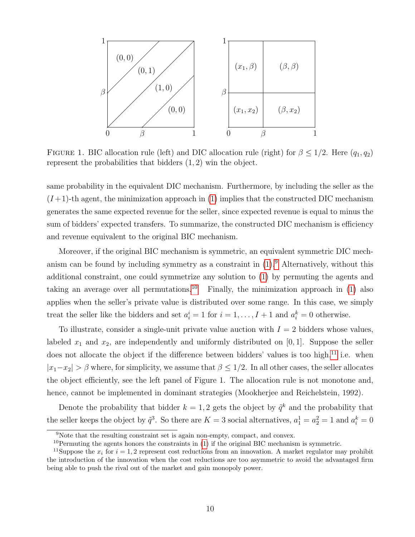

FIGURE 1. BIC allocation rule (left) and DIC allocation rule (right) for  $\beta \leq 1/2$ . Here  $(q_1, q_2)$ represent the probabilities that bidders (1, 2) win the object.

same probability in the equivalent DIC mechanism. Furthermore, by including the seller as the  $(I+1)$ -th agent, the minimization approach in [\(1\)](#page-5-1) implies that the constructed DIC mechanism generates the same expected revenue for the seller, since expected revenue is equal to minus the sum of bidders' expected transfers. To summarize, the constructed DIC mechanism is efficiency and revenue equivalent to the original BIC mechanism.

Moreover, if the original BIC mechanism is symmetric, an equivalent symmetric DIC mechanism can be found by including symmetry as a constraint in  $(1)$ . Alternatively, without this additional constraint, one could symmetrize any solution to [\(1\)](#page-5-1) by permuting the agents and taking an average over all permutations.<sup>[10](#page-10-1)</sup> Finally, the minimization approach in [\(1\)](#page-5-1) also applies when the seller's private value is distributed over some range. In this case, we simply treat the seller like the bidders and set  $a_i^i = 1$  for  $i = 1, ..., I + 1$  and  $a_i^k = 0$  otherwise.

To illustrate, consider a single-unit private value auction with  $I = 2$  bidders whose values, labeled  $x_1$  and  $x_2$ , are independently and uniformly distributed on [0, 1]. Suppose the seller does not allocate the object if the difference between bidders' values is too high,<sup>[11](#page-10-2)</sup> i.e. when  $|x_1-x_2| > \beta$  where, for simplicity, we assume that  $\beta \leq 1/2$ . In all other cases, the seller allocates the object efficiently, see the left panel of Figure 1. The allocation rule is not monotone and, hence, cannot be implemented in dominant strategies (Mookherjee and Reichelstein, 1992).

Denote the probability that bidder  $k = 1, 2$  gets the object by  $\tilde{q}^k$  and the probability that the seller keeps the object by  $\tilde{q}^3$ . So there are  $K = 3$  social alternatives,  $a_1^1 = a_2^2 = 1$  and  $a_i^k = 0$ 

<span id="page-10-1"></span><span id="page-10-0"></span><sup>9</sup>Note that the resulting constraint set is again non-empty, compact, and convex.

<span id="page-10-2"></span> $10$ Permuting the agents honors the constraints in [\(1\)](#page-5-1) if the original BIC mechanism is symmetric.

<sup>&</sup>lt;sup>11</sup>Suppose the  $x_i$  for  $i = 1, 2$  represent cost reductions from an innovation. A market regulator may prohibit the introduction of the innovation when the cost reductions are too asymmetric to avoid the advantaged firm being able to push the rival out of the market and gain monopoly power.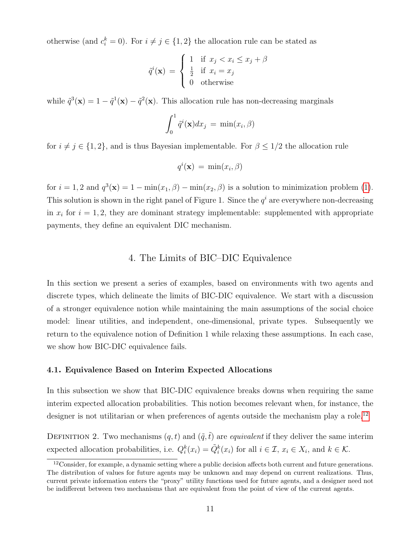otherwise (and  $c_i^k = 0$ ). For  $i \neq j \in \{1, 2\}$  the allocation rule can be stated as

$$
\tilde{q}^{i}(\mathbf{x}) = \begin{cases}\n1 & \text{if } x_{j} < x_{i} \leq x_{j} + \beta \\
\frac{1}{2} & \text{if } x_{i} = x_{j} \\
0 & \text{otherwise}\n\end{cases}
$$

while  $\tilde{q}^3(\mathbf{x}) = 1 - \tilde{q}^1(\mathbf{x}) - \tilde{q}^2(\mathbf{x})$ . This allocation rule has non-decreasing marginals

$$
\int_0^1 \tilde{q}^i(\mathbf{x}) dx_j = \min(x_i, \beta)
$$

for  $i \neq j \in \{1, 2\}$ , and is thus Bayesian implementable. For  $\beta \leq 1/2$  the allocation rule

$$
q^i(\mathbf{x}) = \min(x_i, \beta)
$$

for  $i = 1, 2$  and  $q^3(\mathbf{x}) = 1 - \min(x_1, \beta) - \min(x_2, \beta)$  is a solution to minimization problem [\(1\)](#page-5-1). This solution is shown in the right panel of Figure 1. Since the  $q<sup>i</sup>$  are everywhere non-decreasing in  $x_i$  for  $i = 1, 2$ , they are dominant strategy implementable: supplemented with appropriate payments, they define an equivalent DIC mechanism.

# 4. The Limits of BIC–DIC Equivalence

In this section we present a series of examples, based on environments with two agents and discrete types, which delineate the limits of BIC-DIC equivalence. We start with a discussion of a stronger equivalence notion while maintaining the main assumptions of the social choice model: linear utilities, and independent, one-dimensional, private types. Subsequently we return to the equivalence notion of Definition 1 while relaxing these assumptions. In each case, we show how BIC-DIC equivalence fails.

#### 4.1. Equivalence Based on Interim Expected Allocations

In this subsection we show that BIC-DIC equivalence breaks downs when requiring the same interim expected allocation probabilities. This notion becomes relevant when, for instance, the designer is not utilitarian or when preferences of agents outside the mechanism play a role.<sup>[12](#page-11-0)</sup>

DEFINITION 2. Two mechanisms  $(q, t)$  and  $(\tilde{q}, \tilde{t})$  are *equivalent* if they deliver the same interim expected allocation probabilities, i.e.  $Q_i^k(x_i) = \tilde{Q}_i^k(x_i)$  for all  $i \in \mathcal{I}, x_i \in X_i$ , and  $k \in \mathcal{K}$ .

<span id="page-11-0"></span> $12$ Consider, for example, a dynamic setting where a public decision affects both current and future generations. The distribution of values for future agents may be unknown and may depend on current realizations. Thus, current private information enters the "proxy" utility functions used for future agents, and a designer need not be indifferent between two mechanisms that are equivalent from the point of view of the current agents.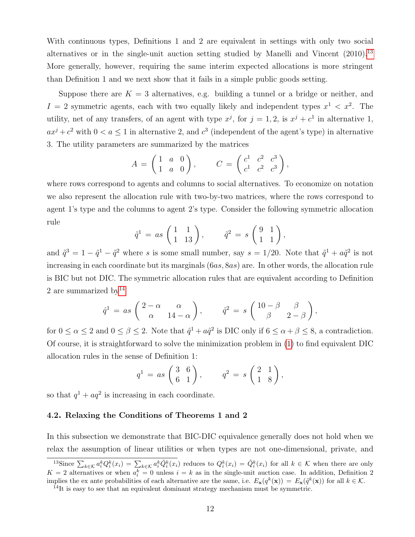With continuous types, Definitions 1 and 2 are equivalent in settings with only two social alternatives or in the single-unit auction setting studied by Manelli and Vincent  $(2010).<sup>13</sup>$  $(2010).<sup>13</sup>$  $(2010).<sup>13</sup>$ More generally, however, requiring the same interim expected allocations is more stringent than Definition 1 and we next show that it fails in a simple public goods setting.

Suppose there are  $K = 3$  alternatives, e.g. building a tunnel or a bridge or neither, and  $I = 2$  symmetric agents, each with two equally likely and independent types  $x^1 < x^2$ . The utility, net of any transfers, of an agent with type  $x^j$ , for  $j = 1, 2$ , is  $x^j + c^1$  in alternative 1,  $ax^{j}+c^{2}$  with  $0 < a \leq 1$  in alternative 2, and  $c^{3}$  (independent of the agent's type) in alternative 3. The utility parameters are summarized by the matrices

$$
A = \begin{pmatrix} 1 & a & 0 \\ 1 & a & 0 \end{pmatrix}, \qquad C = \begin{pmatrix} c^1 & c^2 & c^3 \\ c^1 & c^2 & c^3 \end{pmatrix},
$$

where rows correspond to agents and columns to social alternatives. To economize on notation we also represent the allocation rule with two-by-two matrices, where the rows correspond to agent 1's type and the columns to agent 2's type. Consider the following symmetric allocation rule

$$
\tilde{q}^1 = as \begin{pmatrix} 1 & 1 \\ 1 & 13 \end{pmatrix}, \qquad \tilde{q}^2 = s \begin{pmatrix} 9 & 1 \\ 1 & 1 \end{pmatrix},
$$

and  $\tilde{q}^3 = 1 - \tilde{q}^1 - \tilde{q}^2$  where s is some small number, say  $s = 1/20$ . Note that  $\tilde{q}^1 + a\tilde{q}^2$  is not increasing in each coordinate but its marginals  $(6as, 8as)$  are. In other words, the allocation rule is BIC but not DIC. The symmetric allocation rules that are equivalent according to Definition 2 are summarized by  $14$ 

$$
\hat{q}^1 = as \begin{pmatrix} 2-\alpha & \alpha \\ \alpha & 14-\alpha \end{pmatrix}, \qquad \hat{q}^2 = s \begin{pmatrix} 10-\beta & \beta \\ \beta & 2-\beta \end{pmatrix},
$$

for  $0 \le \alpha \le 2$  and  $0 \le \beta \le 2$ . Note that  $\hat{q}^1 + a\hat{q}^2$  is DIC only if  $6 \le \alpha + \beta \le 8$ , a contradiction. Of course, it is straightforward to solve the minimization problem in [\(1\)](#page-5-1) to find equivalent DIC allocation rules in the sense of Definition 1:

$$
q1 = as \begin{pmatrix} 3 & 6 \\ 6 & 1 \end{pmatrix}, \qquad q2 = s \begin{pmatrix} 2 & 1 \\ 1 & 8 \end{pmatrix},
$$

so that  $q^1 + aq^2$  is increasing in each coordinate.

## 4.2. Relaxing the Conditions of Theorems 1 and 2

In this subsection we demonstrate that BIC-DIC equivalence generally does not hold when we relax the assumption of linear utilities or when types are not one-dimensional, private, and

<span id="page-12-0"></span><sup>&</sup>lt;sup>13</sup>Since  $\sum_{k \in \mathcal{K}} a_i^k Q_i^k(x_i) = \sum_{k \in \mathcal{K}} a_i^k \tilde{Q}_i^k(x_i)$  reduces to  $Q_i^k(x_i) = \tilde{Q}_i^k(x_i)$  for all  $k \in \mathcal{K}$  when there are only  $K=2$  alternatives or when  $a_i^k=0$  unless  $i=k$  as in the single-unit auction case. In addition, Definition 2 implies the ex ante probabilities of each alternative are the same, i.e.  $E_{\mathbf{x}}(q^k(\mathbf{x})) = E_{\mathbf{x}}(\tilde{q}^k(\mathbf{x}))$  for all  $k \in \mathcal{K}$ .

<span id="page-12-1"></span><sup>&</sup>lt;sup>14</sup>It is easy to see that an equivalent dominant strategy mechanism must be symmetric.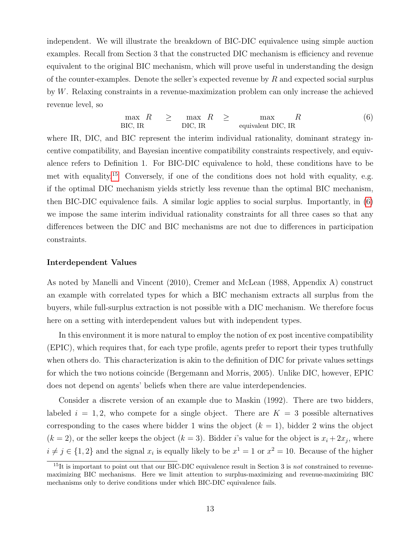independent. We will illustrate the breakdown of BIC-DIC equivalence using simple auction examples. Recall from Section 3 that the constructed DIC mechanism is efficiency and revenue equivalent to the original BIC mechanism, which will prove useful in understanding the design of the counter-examples. Denote the seller's expected revenue by  $R$  and expected social surplus by W. Relaxing constraints in a revenue-maximization problem can only increase the achieved revenue level, so

<span id="page-13-1"></span>
$$
\max_{BIC, IR} R \ge \max_{DIC, IR} R \ge \max_{\text{equivalent DIC, IR}} R \tag{6}
$$

where IR, DIC, and BIC represent the interim individual rationality, dominant strategy incentive compatibility, and Bayesian incentive compatibility constraints respectively, and equivalence refers to Definition 1. For BIC-DIC equivalence to hold, these conditions have to be met with equality.<sup>[15](#page-13-0)</sup> Conversely, if one of the conditions does not hold with equality, e.g. if the optimal DIC mechanism yields strictly less revenue than the optimal BIC mechanism, then BIC-DIC equivalence fails. A similar logic applies to social surplus. Importantly, in [\(6\)](#page-13-1) we impose the same interim individual rationality constraints for all three cases so that any differences between the DIC and BIC mechanisms are not due to differences in participation constraints.

#### Interdependent Values

As noted by Manelli and Vincent (2010), Cremer and McLean (1988, Appendix A) construct an example with correlated types for which a BIC mechanism extracts all surplus from the buyers, while full-surplus extraction is not possible with a DIC mechanism. We therefore focus here on a setting with interdependent values but with independent types.

In this environment it is more natural to employ the notion of ex post incentive compatibility (EPIC), which requires that, for each type profile, agents prefer to report their types truthfully when others do. This characterization is akin to the definition of DIC for private values settings for which the two notions coincide (Bergemann and Morris, 2005). Unlike DIC, however, EPIC does not depend on agents' beliefs when there are value interdependencies.

Consider a discrete version of an example due to Maskin (1992). There are two bidders, labeled  $i = 1, 2$ , who compete for a single object. There are  $K = 3$  possible alternatives corresponding to the cases where bidder 1 wins the object  $(k = 1)$ , bidder 2 wins the object  $(k = 2)$ , or the seller keeps the object  $(k = 3)$ . Bidder *i*'s value for the object is  $x_i + 2x_j$ , where  $i \neq j \in \{1,2\}$  and the signal  $x_i$  is equally likely to be  $x^1 = 1$  or  $x^2 = 10$ . Because of the higher

<span id="page-13-0"></span><sup>&</sup>lt;sup>15</sup>It is important to point out that our BIC-DIC equivalence result in Section 3 is not constrained to revenuemaximizing BIC mechanisms. Here we limit attention to surplus-maximizing and revenue-maximizing BIC mechanisms only to derive conditions under which BIC-DIC equivalence fails.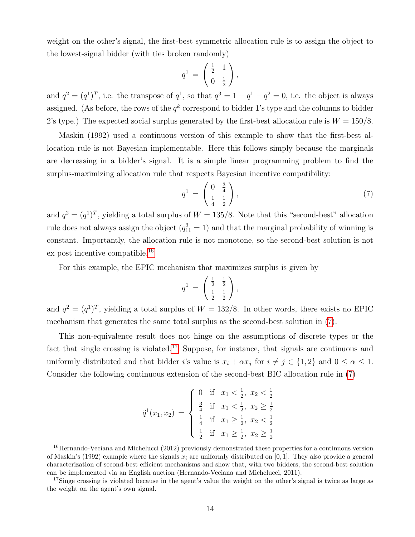weight on the other's signal, the first-best symmetric allocation rule is to assign the object to the lowest-signal bidder (with ties broken randomly)

$$
q^1 = \begin{pmatrix} \frac{1}{2} & 1 \\ 0 & \frac{1}{2} \end{pmatrix},
$$

and  $q^2 = (q^1)^T$ , i.e. the transpose of  $q^1$ , so that  $q^3 = 1 - q^1 - q^2 = 0$ , i.e. the object is always assigned. (As before, the rows of the  $q^k$  correspond to bidder 1's type and the columns to bidder 2's type.) The expected social surplus generated by the first-best allocation rule is  $W = 150/8$ .

Maskin (1992) used a continuous version of this example to show that the first-best allocation rule is not Bayesian implementable. Here this follows simply because the marginals are decreasing in a bidder's signal. It is a simple linear programming problem to find the surplus-maximizing allocation rule that respects Bayesian incentive compatibility:

<span id="page-14-1"></span>
$$
q^1 = \begin{pmatrix} 0 & \frac{3}{4} \\ \frac{1}{4} & \frac{1}{2} \end{pmatrix},\tag{7}
$$

and  $q^2 = (q^1)^T$ , yielding a total surplus of  $W = 135/8$ . Note that this "second-best" allocation rule does not always assign the object  $(q_{11}^3 = 1)$  and that the marginal probability of winning is constant. Importantly, the allocation rule is not monotone, so the second-best solution is not ex post incentive compatible.<sup>[16](#page-14-0)</sup>

For this example, the EPIC mechanism that maximizes surplus is given by

$$
q^{1} = \begin{pmatrix} \frac{1}{2} & \frac{1}{2} \\ \frac{1}{2} & \frac{1}{2} \end{pmatrix},
$$

and  $q^2 = (q^1)^T$ , yielding a total surplus of  $W = 132/8$ . In other words, there exists no EPIC mechanism that generates the same total surplus as the second-best solution in [\(7\)](#page-14-1).

This non-equivalence result does not hinge on the assumptions of discrete types or the fact that single crossing is violated.<sup>[17](#page-14-2)</sup> Suppose, for instance, that signals are continuous and uniformly distributed and that bidder i's value is  $x_i + \alpha x_j$  for  $i \neq j \in \{1,2\}$  and  $0 \leq \alpha \leq 1$ . Consider the following continuous extension of the second-best BIC allocation rule in [\(7\)](#page-14-1)

$$
\tilde{q}^{1}(x_{1}, x_{2}) = \begin{cases}\n0 & \text{if } x_{1} < \frac{1}{2}, x_{2} < \frac{1}{2} \\
\frac{3}{4} & \text{if } x_{1} < \frac{1}{2}, x_{2} \geq \frac{1}{2} \\
\frac{1}{4} & \text{if } x_{1} \geq \frac{1}{2}, x_{2} < \frac{1}{2} \\
\frac{1}{2} & \text{if } x_{1} \geq \frac{1}{2}, x_{2} \geq \frac{1}{2}\n\end{cases}
$$

<span id="page-14-0"></span><sup>&</sup>lt;sup>16</sup>Hernando-Veciana and Michelucci (2012) previously demonstrated these properties for a continuous version of Maskin's (1992) example where the signals  $x_i$  are uniformly distributed on [0, 1]. They also provide a general characterization of second-best efficient mechanisms and show that, with two bidders, the second-best solution can be implemented via an English auction (Hernando-Veciana and Michelucci, 2011).

<span id="page-14-2"></span><sup>&</sup>lt;sup>17</sup>Singe crossing is violated because in the agent's value the weight on the other's signal is twice as large as the weight on the agent's own signal.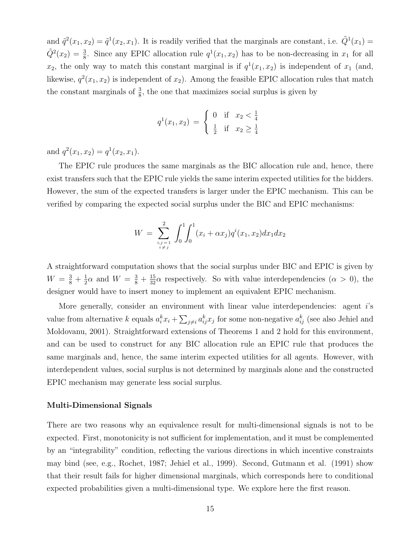and  $\tilde{q}^2(x_1, x_2) = \tilde{q}^1(x_2, x_1)$ . It is readily verified that the marginals are constant, i.e.  $\tilde{Q}^1(x_1) =$  $\tilde{Q}^2(x_2) = \frac{3}{8}$ . Since any EPIC allocation rule  $q^1(x_1, x_2)$  has to be non-decreasing in  $x_1$  for all  $x_2$ , the only way to match this constant marginal is if  $q^1(x_1, x_2)$  is independent of  $x_1$  (and, likewise,  $q^2(x_1, x_2)$  is independent of  $x_2$ ). Among the feasible EPIC allocation rules that match the constant marginals of  $\frac{3}{8}$ , the one that maximizes social surplus is given by

$$
q^{1}(x_{1}, x_{2}) = \begin{cases} 0 & \text{if } x_{2} < \frac{1}{4} \\ \frac{1}{2} & \text{if } x_{2} \ge \frac{1}{4} \end{cases}
$$

and  $q^2(x_1, x_2) = q^1(x_2, x_1)$ .

The EPIC rule produces the same marginals as the BIC allocation rule and, hence, there exist transfers such that the EPIC rule yields the same interim expected utilities for the bidders. However, the sum of the expected transfers is larger under the EPIC mechanism. This can be verified by comparing the expected social surplus under the BIC and EPIC mechanisms:

$$
W = \sum_{\substack{i,j=1\\i \neq j}}^{2} \int_{0}^{1} \int_{0}^{1} (x_i + \alpha x_j) q^i(x_1, x_2) dx_1 dx_2
$$

A straightforward computation shows that the social surplus under BIC and EPIC is given by  $W = \frac{3}{8} + \frac{1}{2}$  $\frac{1}{2}\alpha$  and  $W = \frac{3}{8} + \frac{15}{32}\alpha$  respectively. So with value interdependencies  $(\alpha > 0)$ , the designer would have to insert money to implement an equivalent EPIC mechanism.

More generally, consider an environment with linear value interdependencies: agent  $i$ 's value from alternative k equals  $a_i^k x_i + \sum_{j \neq i} a_{ij}^k x_j$  for some non-negative  $a_{ij}^k$  (see also Jehiel and Moldovanu, 2001). Straightforward extensions of Theorems 1 and 2 hold for this environment, and can be used to construct for any BIC allocation rule an EPIC rule that produces the same marginals and, hence, the same interim expected utilities for all agents. However, with interdependent values, social surplus is not determined by marginals alone and the constructed EPIC mechanism may generate less social surplus.

#### Multi-Dimensional Signals

There are two reasons why an equivalence result for multi-dimensional signals is not to be expected. First, monotonicity is not sufficient for implementation, and it must be complemented by an "integrability" condition, reflecting the various directions in which incentive constraints may bind (see, e.g., Rochet, 1987; Jehiel et al., 1999). Second, Gutmann et al. (1991) show that their result fails for higher dimensional marginals, which corresponds here to conditional expected probabilities given a multi-dimensional type. We explore here the first reason.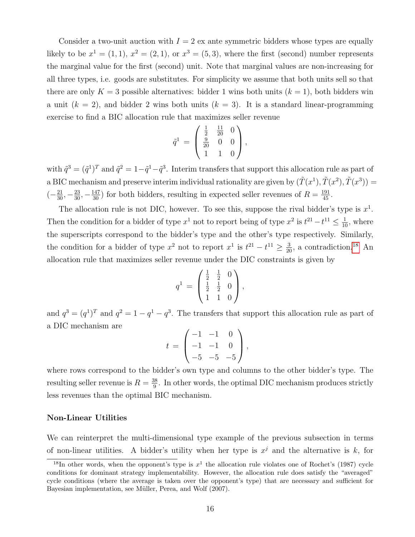Consider a two-unit auction with  $I = 2$  ex ante symmetric bidders whose types are equally likely to be  $x^1 = (1, 1), x^2 = (2, 1),$  or  $x^3 = (5, 3),$  where the first (second) number represents the marginal value for the first (second) unit. Note that marginal values are non-increasing for all three types, i.e. goods are substitutes. For simplicity we assume that both units sell so that there are only  $K = 3$  possible alternatives: bidder 1 wins both units  $(k = 1)$ , both bidders win a unit  $(k = 2)$ , and bidder 2 wins both units  $(k = 3)$ . It is a standard linear-programming exercise to find a BIC allocation rule that maximizes seller revenue

$$
\tilde{q}^1 = \begin{pmatrix} \frac{1}{2} & \frac{11}{20} & 0 \\ \frac{9}{20} & 0 & 0 \\ 1 & 1 & 0 \end{pmatrix},
$$

with  $\tilde{q}^3 = (\tilde{q}^1)^T$  and  $\tilde{q}^2 = 1-\tilde{q}^1-\tilde{q}^3$ . Interim transfers that support this allocation rule as part of a BIC mechanism and preserve interim individual rationality are given by  $(\tilde{T}(x^1), \tilde{T}(x^2), \tilde{T}(x^3)) =$  $\left(-\frac{21}{30}, -\frac{23}{30}, -\frac{147}{30}\right)$  for both bidders, resulting in expected seller revenues of  $R = \frac{191}{45}$ .

The allocation rule is not DIC, however. To see this, suppose the rival bidder's type is  $x^1$ . Then the condition for a bidder of type  $x^1$  not to report being of type  $x^2$  is  $t^{21} - t^{11} \le \frac{1}{10}$ , where the superscripts correspond to the bidder's type and the other's type respectively. Similarly, the condition for a bidder of type  $x^2$  not to report  $x^1$  is  $t^{21} - t^{11} \ge \frac{3}{20}$ , a contradiction.<sup>[18](#page-16-0)</sup> An allocation rule that maximizes seller revenue under the DIC constraints is given by

$$
q^{1} = \begin{pmatrix} \frac{1}{2} & \frac{1}{2} & 0 \\ \frac{1}{2} & \frac{1}{2} & 0 \\ 1 & 1 & 0 \end{pmatrix},
$$

and  $q^3 = (q^1)^T$  and  $q^2 = 1 - q^1 - q^3$ . The transfers that support this allocation rule as part of a DIC mechanism are

$$
t = \begin{pmatrix} -1 & -1 & 0 \\ -1 & -1 & 0 \\ -5 & -5 & -5 \end{pmatrix},
$$

where rows correspond to the bidder's own type and columns to the other bidder's type. The resulting seller revenue is  $R = \frac{38}{9}$  $\frac{38}{9}$ . In other words, the optimal DIC mechanism produces strictly less revenues than the optimal BIC mechanism.

# Non-Linear Utilities

We can reinterpret the multi-dimensional type example of the previous subsection in terms of non-linear utilities. A bidder's utility when her type is  $x^j$  and the alternative is k, for

<span id="page-16-0"></span><sup>&</sup>lt;sup>18</sup>In other words, when the opponent's type is  $x<sup>1</sup>$  the allocation rule violates one of Rochet's (1987) cycle conditions for dominant strategy implementability. However, the allocation rule does satisfy the "averaged" cycle conditions (where the average is taken over the opponent's type) that are necessary and sufficient for Bayesian implementation, see Müller, Perea, and Wolf (2007).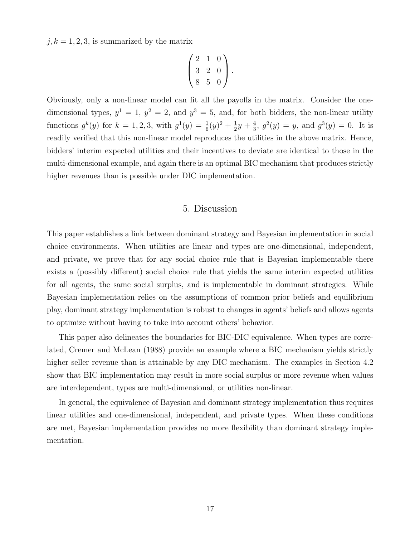$j, k = 1, 2, 3$ , is summarized by the matrix

$$
\begin{pmatrix} 2 & 1 & 0 \\ 3 & 2 & 0 \\ 8 & 5 & 0 \end{pmatrix}.
$$

Obviously, only a non-linear model can fit all the payoffs in the matrix. Consider the onedimensional types,  $y^1 = 1$ ,  $y^2 = 2$ , and  $y^3 = 5$ , and, for both bidders, the non-linear utility functions  $g^k(y)$  for  $k = 1, 2, 3$ , with  $g^1(y) = \frac{1}{6}(y)^2 + \frac{1}{2}$  $\frac{1}{2}y + \frac{4}{3}$  $\frac{4}{3}$ ,  $g^2(y) = y$ , and  $g^3(y) = 0$ . It is readily verified that this non-linear model reproduces the utilities in the above matrix. Hence, bidders' interim expected utilities and their incentives to deviate are identical to those in the multi-dimensional example, and again there is an optimal BIC mechanism that produces strictly higher revenues than is possible under DIC implementation.

# 5. Discussion

This paper establishes a link between dominant strategy and Bayesian implementation in social choice environments. When utilities are linear and types are one-dimensional, independent, and private, we prove that for any social choice rule that is Bayesian implementable there exists a (possibly different) social choice rule that yields the same interim expected utilities for all agents, the same social surplus, and is implementable in dominant strategies. While Bayesian implementation relies on the assumptions of common prior beliefs and equilibrium play, dominant strategy implementation is robust to changes in agents' beliefs and allows agents to optimize without having to take into account others' behavior.

This paper also delineates the boundaries for BIC-DIC equivalence. When types are correlated, Cremer and McLean (1988) provide an example where a BIC mechanism yields strictly higher seller revenue than is attainable by any DIC mechanism. The examples in Section 4.2 show that BIC implementation may result in more social surplus or more revenue when values are interdependent, types are multi-dimensional, or utilities non-linear.

In general, the equivalence of Bayesian and dominant strategy implementation thus requires linear utilities and one-dimensional, independent, and private types. When these conditions are met, Bayesian implementation provides no more flexibility than dominant strategy implementation.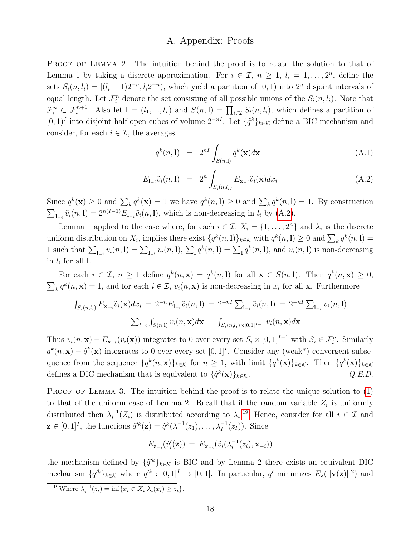# A. Appendix: Proofs

PROOF OF LEMMA 2. The intuition behind the proof is to relate the solution to that of Lemma 1 by taking a discrete approximation. For  $i \in \mathcal{I}$ ,  $n \geq 1$ ,  $l_i = 1, \ldots, 2^n$ , define the sets  $S_i(n, l_i) = [(l_i - 1)2^{-n}, l_i 2^{-n})$ , which yield a partition of  $[0, 1)$  into  $2^n$  disjoint intervals of equal length. Let  $\mathcal{F}_i^n$  denote the set consisting of all possible unions of the  $S_i(n, l_i)$ . Note that  $\mathcal{F}_i^n \subset \mathcal{F}_i^{n+1}$ . Also let  $\mathbf{l} = (l_1, ..., l_I)$  and  $S(n, \mathbf{l}) = \prod_{i \in \mathcal{I}} S_i(n, l_i)$ , which defines a partition of [0, 1)<sup>I</sup> into disjoint half-open cubes of volume  $2^{-n}$ . Let  $\{\tilde{q}^k\}_{k \in \mathcal{K}}$  define a BIC mechanism and consider, for each  $i \in \mathcal{I}$ , the averages

<span id="page-18-0"></span>
$$
\tilde{q}^k(n,1) = 2^{nI} \int_{S(n,1)} \tilde{q}^k(\mathbf{x}) d\mathbf{x}
$$
\n(A.1)

$$
E_{\mathbf{l}_{-i}}\tilde{v}_i(n,\mathbf{l}) = 2^n \int_{S_i(n,l_i)} E_{\mathbf{x}_{-i}}\tilde{v}_i(\mathbf{x}) dx_i
$$
\n(A.2)

Since  $\tilde{q}^k(\mathbf{x}) \geq 0$  and  $\sum_k \tilde{q}^k(\mathbf{x}) = 1$  we have  $\tilde{q}^k(n, l) \geq 0$  and  $\sum_k \tilde{q}^k(n, l) = 1$ . By construction  $\sum_{l_{-i}} \tilde{v}_i(n, l) = 2^{n(I-1)} E_{l_{-i}} \tilde{v}_i(n, l)$ , which is non-decreasing in  $l_i$  by [\(A.2\)](#page-18-0).

Lemma 1 applied to the case where, for each  $i \in \mathcal{I}, X_i = \{1, \ldots, 2^n\}$  and  $\lambda_i$  is the discrete uniform distribution on  $X_i$ , implies there exist  $\{q^k(n,1)\}_{k\in\mathcal{K}}$  with  $q^k(n,1)\geq 0$  and  $\sum_k q^k(n,1)=$ 1 such that  $\sum_{l=1} v_i(n, l) = \sum_{l=1} \tilde{v}_i(n, l)$ ,  $\sum_{l=1} q^k(n, l) = \sum_{l=1} \tilde{q}^k(n, l)$ , and  $v_i(n, l)$  is non-decreasing in  $l_i$  for all **l**.

For each  $i \in \mathcal{I}$ ,  $n \geq 1$  define  $q^k(n, \mathbf{x}) = q^k(n, \mathbf{l})$  for all  $\mathbf{x} \in S(n, \mathbf{l})$ . Then  $q^k(n, \mathbf{x}) \geq 0$ ,  $\sum_{k} q^{k}(n, \mathbf{x}) = 1$ , and for each  $i \in \mathcal{I}$ ,  $v_i(n, \mathbf{x})$  is non-decreasing in  $x_i$  for all  $\mathbf{x}$ . Furthermore

$$
\int_{S_i(n,l_i)} E_{\mathbf{x}_{-i}} \tilde{v}_i(\mathbf{x}) dx_i = 2^{-n} E_{1-i} \tilde{v}_i(n, \mathbf{l}) = 2^{-n} \sum_{l_{-i}} \tilde{v}_i(n, \mathbf{l}) = 2^{-n} \sum_{l_{-i}} v_i(n, \mathbf{l})
$$

$$
= \sum_{l_{-i}} \int_{S(n,\mathbf{l})} v_i(n, \mathbf{x}) d\mathbf{x} = \int_{S_i(n,l_i) \times [0,1]^{I-1}} v_i(n, \mathbf{x}) d\mathbf{x}
$$

Thus  $v_i(n, \mathbf{x}) - E_{\mathbf{x}_{-i}}(\tilde{v}_i(\mathbf{x}))$  integrates to 0 over every set  $S_i \times [0, 1]^{I-1}$  with  $S_i \in \mathcal{F}_i^n$ . Similarly  $q^k(n, \mathbf{x}) - \tilde{q}^k(\mathbf{x})$  integrates to 0 over every set  $[0, 1]^I$ . Consider any (weak\*) convergent subsequence from the sequence  $\{q^k(n,\mathbf{x})\}_{k\in\mathcal{K}}$  for  $n\geq 1$ , with limit  $\{q^k(\mathbf{x})\}_{k\in\mathcal{K}}$ . Then  $\{q^k(\mathbf{x})\}_{k\in\mathcal{K}}$ defines a DIC mechanism that is equivalent to  $\{\tilde{q}^k(\mathbf{x})\}_{k\in\mathcal{K}}$ .  $Q.E.D.$ 

PROOF OF LEMMA 3. The intuition behind the proof is to relate the unique solution to  $(1)$ to that of the uniform case of Lemma 2. Recall that if the random variable  $Z_i$  is uniformly distributed then  $\lambda_i^{-1}$  $i_l^{-1}(Z_i)$  is distributed according to  $\lambda_i$ .<sup>[19](#page-18-1)</sup> Hence, consider for all  $i \in \mathcal{I}$  and  $\mathbf{z} \in [0,1]^I$ , the functions  $\tilde{q}^{\prime k}(\mathbf{z}) = \tilde{q}^k(\lambda_1^{-1}(z_1), \ldots, \lambda_I^{-1}(z_I)).$  Since

$$
E_{\mathbf{z}_{-i}}(\tilde{v}'_i(\mathbf{z})) = E_{\mathbf{x}_{-i}}(\tilde{v}_i(\lambda_i^{-1}(z_i), \mathbf{x}_{-i}))
$$

the mechanism defined by  $\{\tilde{q}^{\prime k}\}_{k\in\mathcal{K}}$  is BIC and by Lemma 2 there exists an equivalent DIC mechanism  $\{q'^k\}_{k\in\mathcal{K}}$  where  $q'^k: [0,1]^I \to [0,1]$ . In particular, q' minimizes  $E_{\mathbf{z}}(||\mathbf{v}(\mathbf{z})||^2)$  and

<span id="page-18-1"></span><sup>&</sup>lt;sup>19</sup>Where  $\lambda_i^{-1}(z_i) = \inf\{x_i \in X_i | \lambda_i(x_i) \geq z_i\}.$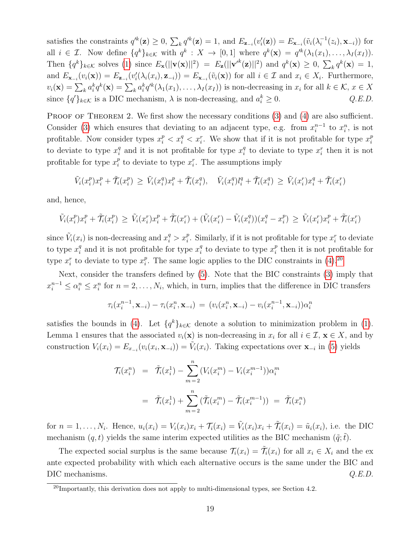satisfies the constraints  $q'^k(\mathbf{z}) \geq 0$ ,  $\sum_k q'^k(\mathbf{z}) = 1$ , and  $E_{\mathbf{z}_{-i}}(v'_i(\mathbf{z})) = E_{\mathbf{x}_{-i}}(\tilde{v}_i(\lambda_i^{-1}))$  $\binom{-1}{i}(z_i), \mathbf{x}_{-i})$  for all  $i \in \mathcal{I}$ . Now define  $\{q^k\}_{k \in \mathcal{K}}$  with  $q^k : X \to [0,1]$  where  $q^k(\mathbf{x}) = q'^k(\lambda_1(x_1), \ldots, \lambda_l(x_l)).$ Then  $\{q^k\}_{k\in\mathcal{K}}$  solves [\(1\)](#page-5-1) since  $E_{\mathbf{x}}(||\mathbf{v}(\mathbf{x})||^2) = E_{\mathbf{z}}(||\mathbf{v}'^k(\mathbf{z})||^2)$  and  $q^k(\mathbf{x}) \geq 0$ ,  $\sum_k q^k(\mathbf{x}) = 1$ , and  $E_{\mathbf{x}_{-i}}(v_i(\mathbf{x})) = E_{\mathbf{z}_{-i}}(v_i'(\lambda_i(x_i), \mathbf{z}_{-i})) = E_{\mathbf{x}_{-i}}(\tilde{v}_i(\mathbf{x}))$  for all  $i \in \mathcal{I}$  and  $x_i \in X_i$ . Furthermore,  $v_i(\mathbf{x}) = \sum_k a_i^k q^k(\mathbf{x}) = \sum_k a_i^k q'^k(\lambda_1(x_1), \dots, \lambda_I(x_I))$  is non-decreasing in  $x_i$  for all  $k \in \mathcal{K}, x \in X$ since  $\{q'\}_{k\in\mathcal{K}}$  is a DIC mechanism,  $\lambda$  is non-decreasing, and  $a_i^k \geq 0$ .  $Q.E.D.$ 

PROOF OF THEOREM 2. We first show the necessary conditions [\(3\)](#page-6-0) and [\(4\)](#page-8-0) are also sufficient. Consider [\(3\)](#page-6-0) which ensures that deviating to an adjacent type, e.g. from  $x_i^{n-1}$  $i^{n-1}$  to  $x_i^n$ , is not profitable. Now consider types  $x_i^p < x_i^q < x_i^r$ . We show that if it is not profitable for type  $x_i^p$ i to deviate to type  $x_i^q$  $\frac{q}{i}$  and it is not profitable for type  $x_i^q$  $_i^q$  to deviate to type  $x_i^r$  then it is not profitable for type  $x_i^p$  $\sum_{i=1}^{p}$  to deviate to type  $x_i^r$ . The assumptions imply

$$
\tilde{V}_i(x_i^p)x_i^p + \tilde{\mathcal{T}}_i(x_i^p) \ge \tilde{V}_i(x_i^q)x_i^p + \tilde{\mathcal{T}}_i(x_i^q), \quad \tilde{V}_i(x_i^q)l_i^q + \tilde{\mathcal{T}}_i(x_i^q) \ge \tilde{V}_i(x_i^r)x_i^q + \tilde{\mathcal{T}}_i(x_i^r)
$$

and, hence,

$$
\tilde{V}_i(x_i^p)x_i^p + \tilde{\mathcal{T}}_i(x_i^p) \ge \tilde{V}_i(x_i^r)x_i^p + \tilde{\mathcal{T}}_i(x_i^r) + (\tilde{V}_i(x_i^r) - \tilde{V}_i(x_i^q))(x_i^q - x_i^p) \ge \tilde{V}_i(x_i^r)x_i^p + \tilde{\mathcal{T}}_i(x_i^r)
$$

since  $\tilde{V}_i(x_i)$  is non-decreasing and  $x_i^q > x_i^p$ . Similarly, if it is not profitable for type  $x_i^r$  to deviate to type  $x_i^q$  $\frac{q}{i}$  and it is not profitable for type  $x_i^q$  $_i^q$  to deviate to type  $x_i^p$  $i$ <sup>*t*</sup> then it is not profitable for type  $x_i^r$  to deviate to type  $x_i^p$  $i<sup>p</sup>$ . The same logic applies to the DIC constraints in [\(4\)](#page-8-0).<sup>[20](#page-19-0)</sup>

Next, consider the transfers defined by [\(5\)](#page-9-1). Note that the BIC constraints [\(3\)](#page-6-0) imply that  $x_i^{n-1} \leq \alpha_i^n \leq x_i^n$  for  $n = 2, \ldots, N_i$ , which, in turn, implies that the difference in DIC transfers

$$
\tau_i(x_i^{n-1}, \mathbf{x}_{-i}) - \tau_i(x_i^n, \mathbf{x}_{-i}) = (v_i(x_i^n, \mathbf{x}_{-i}) - v_i(x_i^{n-1}, \mathbf{x}_{-i}))\alpha_i^n
$$

satisfies the bounds in [\(4\)](#page-8-0). Let  $\{q^k\}_{k\in\mathcal{K}}$  denote a solution to minimization problem in [\(1\)](#page-5-1). Lemma 1 ensures that the associated  $v_i(\mathbf{x})$  is non-decreasing in  $x_i$  for all  $i \in \mathcal{I}$ ,  $\mathbf{x} \in X$ , and by construction  $V_i(x_i) = E_{x_{-i}}(v_i(x_i, \mathbf{x}_{-i})) = \tilde{V}_i(x_i)$ . Taking expectations over  $\mathbf{x}_{-i}$  in [\(5\)](#page-9-1) yields

$$
\mathcal{T}_i(x_i^n) = \tilde{\mathcal{T}}_i(x_i^1) - \sum_{m=2}^n (V_i(x_i^m) - V_i(x_i^{m-1}))\alpha_i^m
$$
  

$$
= \tilde{\mathcal{T}}_i(x_i^1) + \sum_{m=2}^n (\tilde{\mathcal{T}}_i(x_i^m) - \tilde{\mathcal{T}}_i(x_i^{m-1})) = \tilde{\mathcal{T}}_i(x_i^n)
$$

for  $n = 1, \ldots, N_i$ . Hence,  $u_i(x_i) = V_i(x_i)x_i + \mathcal{T}_i(x_i) = \tilde{V}_i(x_i)x_i + \tilde{\mathcal{T}}_i(x_i) = \tilde{u}_i(x_i)$ , i.e. the DIC mechanism  $(q, t)$  yields the same interim expected utilities as the BIC mechanism  $(\tilde{q}, \tilde{t})$ .

The expected social surplus is the same because  $\mathcal{T}_i(x_i) = \tilde{\mathcal{T}}_i(x_i)$  for all  $x_i \in X_i$  and the exante expected probability with which each alternative occurs is the same under the BIC and DIC mechanisms.  $Q.E.D.$ 

<span id="page-19-0"></span> $^{20}$ Importantly, this derivation does not apply to multi-dimensional types, see Section 4.2.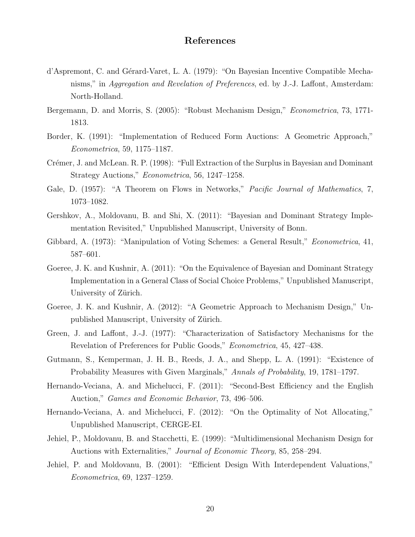# References

- d'Aspremont, C. and Gérard-Varet, L. A. (1979): "On Bayesian Incentive Compatible Mechanisms," in *Aggregation and Revelation of Preferences*, ed. by J.-J. Laffont, Amsterdam: North-Holland.
- Bergemann, D. and Morris, S. (2005): "Robust Mechanism Design," *Econometrica*, 73, 1771-1813.
- Border, K. (1991): "Implementation of Reduced Form Auctions: A Geometric Approach," Econometrica, 59, 1175–1187.
- Crémer, J. and McLean. R. P. (1998): "Full Extraction of the Surplus in Bayesian and Dominant Strategy Auctions," Econometrica, 56, 1247–1258.
- Gale, D. (1957): "A Theorem on Flows in Networks," Pacific Journal of Mathematics, 7, 1073–1082.
- Gershkov, A., Moldovanu, B. and Shi, X. (2011): "Bayesian and Dominant Strategy Implementation Revisited," Unpublished Manuscript, University of Bonn.
- Gibbard, A. (1973): "Manipulation of Voting Schemes: a General Result," *Econometrica*, 41, 587–601.
- Goeree, J. K. and Kushnir, A. (2011): "On the Equivalence of Bayesian and Dominant Strategy Implementation in a General Class of Social Choice Problems," Unpublished Manuscript, University of Zürich.
- Goeree, J. K. and Kushnir, A. (2012): "A Geometric Approach to Mechanism Design," Unpublished Manuscript, University of Zürich.
- Green, J. and Laffont, J.-J. (1977): "Characterization of Satisfactory Mechanisms for the Revelation of Preferences for Public Goods," Econometrica, 45, 427–438.
- Gutmann, S., Kemperman, J. H. B., Reeds, J. A., and Shepp, L. A. (1991): "Existence of Probability Measures with Given Marginals," Annals of Probability, 19, 1781–1797.
- Hernando-Veciana, A. and Michelucci, F. (2011): "Second-Best Efficiency and the English Auction," Games and Economic Behavior, 73, 496–506.
- Hernando-Veciana, A. and Michelucci, F. (2012): "On the Optimality of Not Allocating," Unpublished Manuscript, CERGE-EI.
- Jehiel, P., Moldovanu, B. and Stacchetti, E. (1999): "Multidimensional Mechanism Design for Auctions with Externalities," Journal of Economic Theory, 85, 258–294.
- Jehiel, P. and Moldovanu, B. (2001): "Efficient Design With Interdependent Valuations," Econometrica, 69, 1237–1259.